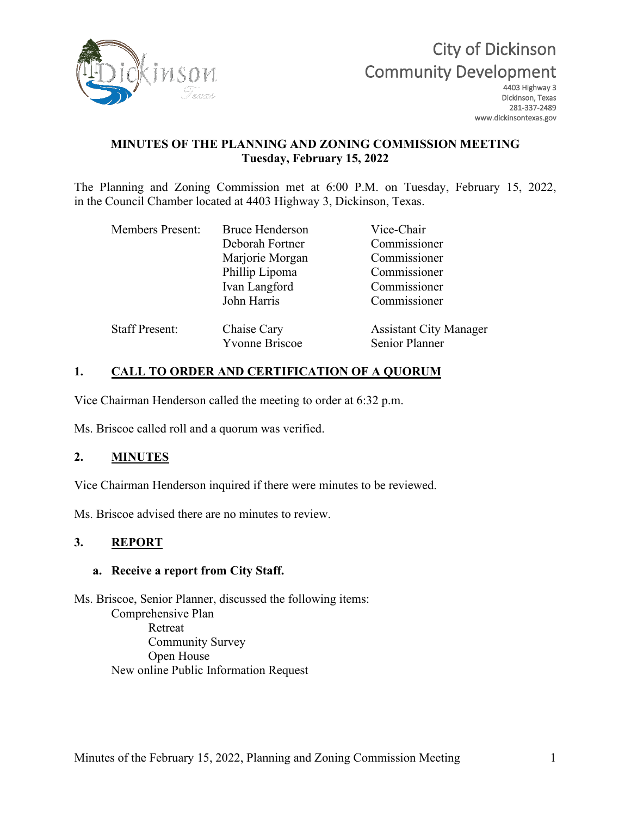

# City of Dickinson Community Development

Dickinson, Texas 281-337-2489 www.dickinsontexas.gov

## **MINUTES OF THE PLANNING AND ZONING COMMISSION MEETING Tuesday, February 15, 2022**

The Planning and Zoning Commission met at 6:00 P.M. on Tuesday, February 15, 2022, in the Council Chamber located at 4403 Highway 3, Dickinson, Texas.

| <b>Bruce Henderson</b>               | Vice-Chair                                      |
|--------------------------------------|-------------------------------------------------|
| Deborah Fortner                      | Commissioner                                    |
| Marjorie Morgan                      | Commissioner                                    |
| Phillip Lipoma                       | Commissioner                                    |
| Ivan Langford                        | Commissioner                                    |
| John Harris                          | Commissioner                                    |
| Chaise Cary<br><b>Yvonne Briscoe</b> | <b>Assistant City Manager</b><br>Senior Planner |
|                                      |                                                 |

## **1. CALL TO ORDER AND CERTIFICATION OF A QUORUM**

Vice Chairman Henderson called the meeting to order at 6:32 p.m.

Ms. Briscoe called roll and a quorum was verified.

## **2. MINUTES**

Vice Chairman Henderson inquired if there were minutes to be reviewed.

Ms. Briscoe advised there are no minutes to review.

#### **3. REPORT**

#### **a. Receive a report from City Staff.**

Ms. Briscoe, Senior Planner, discussed the following items: Comprehensive Plan Retreat Community Survey Open House New online Public Information Request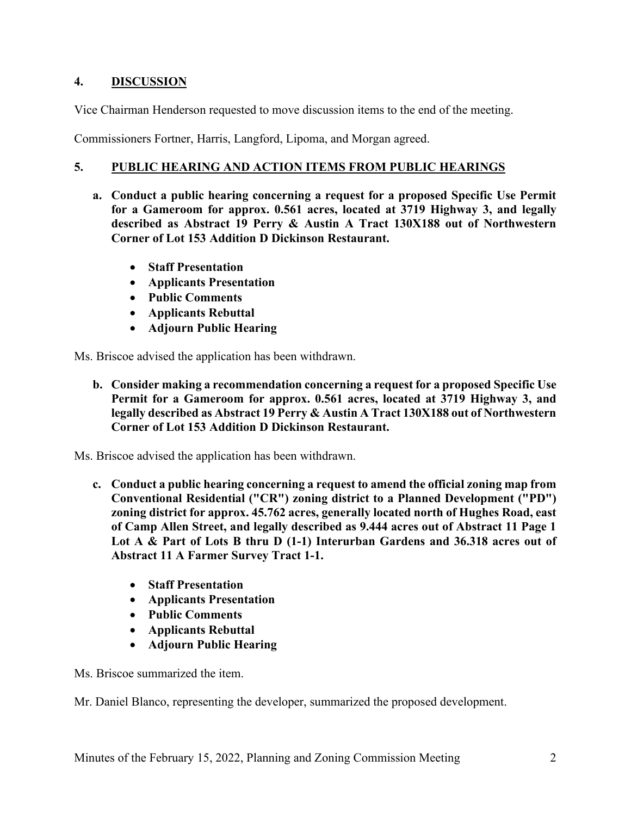## **4. DISCUSSION**

Vice Chairman Henderson requested to move discussion items to the end of the meeting.

Commissioners Fortner, Harris, Langford, Lipoma, and Morgan agreed.

#### **5. PUBLIC HEARING AND ACTION ITEMS FROM PUBLIC HEARINGS**

- **a. Conduct a public hearing concerning a request for a proposed Specific Use Permit for a Gameroom for approx. 0.561 acres, located at 3719 Highway 3, and legally described as Abstract 19 Perry & Austin A Tract 130X188 out of Northwestern Corner of Lot 153 Addition D Dickinson Restaurant.**
	- **Staff Presentation**
	- **Applicants Presentation**
	- **Public Comments**
	- **Applicants Rebuttal**
	- **Adjourn Public Hearing**

Ms. Briscoe advised the application has been withdrawn.

**b. Consider making a recommendation concerning a request for a proposed Specific Use Permit for a Gameroom for approx. 0.561 acres, located at 3719 Highway 3, and legally described as Abstract 19 Perry & Austin A Tract 130X188 out of Northwestern Corner of Lot 153 Addition D Dickinson Restaurant.**

Ms. Briscoe advised the application has been withdrawn.

- **c. Conduct a public hearing concerning a request to amend the official zoning map from Conventional Residential ("CR") zoning district to a Planned Development ("PD") zoning district for approx. 45.762 acres, generally located north of Hughes Road, east of Camp Allen Street, and legally described as 9.444 acres out of Abstract 11 Page 1 Lot A & Part of Lots B thru D (1-1) Interurban Gardens and 36.318 acres out of Abstract 11 A Farmer Survey Tract 1-1.**
	- **Staff Presentation**
	- **Applicants Presentation**
	- **Public Comments**
	- **Applicants Rebuttal**
	- **Adjourn Public Hearing**

Ms. Briscoe summarized the item.

Mr. Daniel Blanco, representing the developer, summarized the proposed development.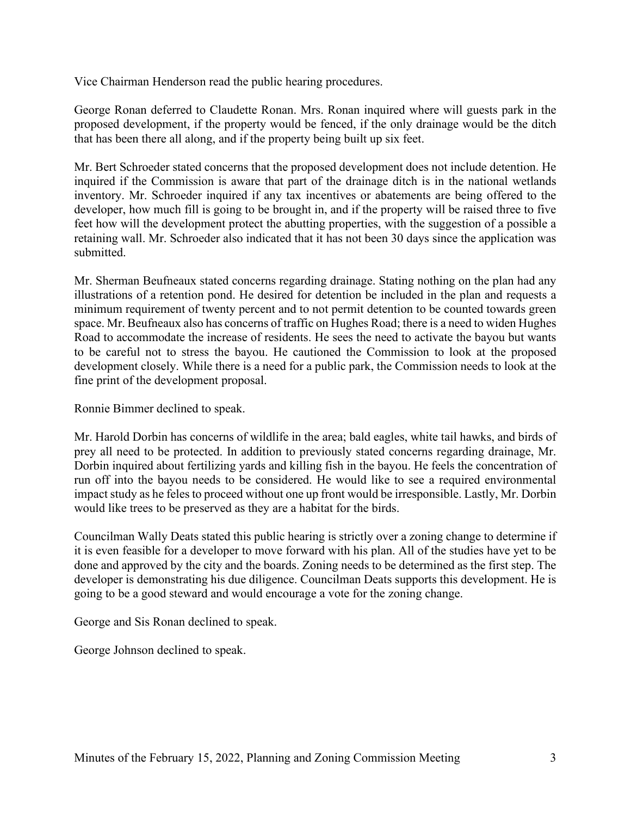Vice Chairman Henderson read the public hearing procedures.

George Ronan deferred to Claudette Ronan. Mrs. Ronan inquired where will guests park in the proposed development, if the property would be fenced, if the only drainage would be the ditch that has been there all along, and if the property being built up six feet.

Mr. Bert Schroeder stated concerns that the proposed development does not include detention. He inquired if the Commission is aware that part of the drainage ditch is in the national wetlands inventory. Mr. Schroeder inquired if any tax incentives or abatements are being offered to the developer, how much fill is going to be brought in, and if the property will be raised three to five feet how will the development protect the abutting properties, with the suggestion of a possible a retaining wall. Mr. Schroeder also indicated that it has not been 30 days since the application was submitted.

Mr. Sherman Beufneaux stated concerns regarding drainage. Stating nothing on the plan had any illustrations of a retention pond. He desired for detention be included in the plan and requests a minimum requirement of twenty percent and to not permit detention to be counted towards green space. Mr. Beufneaux also has concerns of traffic on Hughes Road; there is a need to widen Hughes Road to accommodate the increase of residents. He sees the need to activate the bayou but wants to be careful not to stress the bayou. He cautioned the Commission to look at the proposed development closely. While there is a need for a public park, the Commission needs to look at the fine print of the development proposal.

Ronnie Bimmer declined to speak.

Mr. Harold Dorbin has concerns of wildlife in the area; bald eagles, white tail hawks, and birds of prey all need to be protected. In addition to previously stated concerns regarding drainage, Mr. Dorbin inquired about fertilizing yards and killing fish in the bayou. He feels the concentration of run off into the bayou needs to be considered. He would like to see a required environmental impact study as he feles to proceed without one up front would be irresponsible. Lastly, Mr. Dorbin would like trees to be preserved as they are a habitat for the birds.

Councilman Wally Deats stated this public hearing is strictly over a zoning change to determine if it is even feasible for a developer to move forward with his plan. All of the studies have yet to be done and approved by the city and the boards. Zoning needs to be determined as the first step. The developer is demonstrating his due diligence. Councilman Deats supports this development. He is going to be a good steward and would encourage a vote for the zoning change.

George and Sis Ronan declined to speak.

George Johnson declined to speak.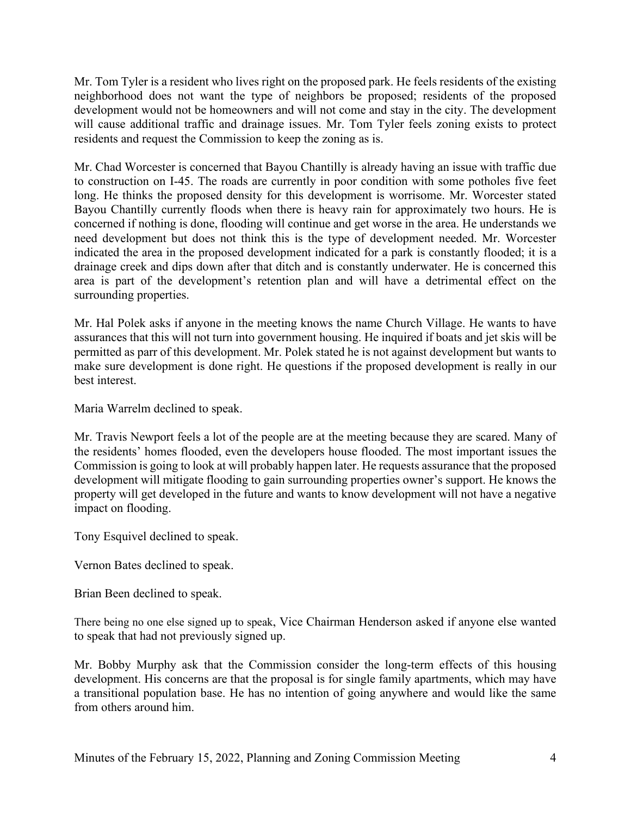Mr. Tom Tyler is a resident who lives right on the proposed park. He feels residents of the existing neighborhood does not want the type of neighbors be proposed; residents of the proposed development would not be homeowners and will not come and stay in the city. The development will cause additional traffic and drainage issues. Mr. Tom Tyler feels zoning exists to protect residents and request the Commission to keep the zoning as is.

Mr. Chad Worcester is concerned that Bayou Chantilly is already having an issue with traffic due to construction on I-45. The roads are currently in poor condition with some potholes five feet long. He thinks the proposed density for this development is worrisome. Mr. Worcester stated Bayou Chantilly currently floods when there is heavy rain for approximately two hours. He is concerned if nothing is done, flooding will continue and get worse in the area. He understands we need development but does not think this is the type of development needed. Mr. Worcester indicated the area in the proposed development indicated for a park is constantly flooded; it is a drainage creek and dips down after that ditch and is constantly underwater. He is concerned this area is part of the development's retention plan and will have a detrimental effect on the surrounding properties.

Mr. Hal Polek asks if anyone in the meeting knows the name Church Village. He wants to have assurances that this will not turn into government housing. He inquired if boats and jet skis will be permitted as parr of this development. Mr. Polek stated he is not against development but wants to make sure development is done right. He questions if the proposed development is really in our best interest.

Maria Warrelm declined to speak.

Mr. Travis Newport feels a lot of the people are at the meeting because they are scared. Many of the residents' homes flooded, even the developers house flooded. The most important issues the Commission is going to look at will probably happen later. He requests assurance that the proposed development will mitigate flooding to gain surrounding properties owner's support. He knows the property will get developed in the future and wants to know development will not have a negative impact on flooding.

Tony Esquivel declined to speak.

Vernon Bates declined to speak.

Brian Been declined to speak.

There being no one else signed up to speak, Vice Chairman Henderson asked if anyone else wanted to speak that had not previously signed up.

Mr. Bobby Murphy ask that the Commission consider the long-term effects of this housing development. His concerns are that the proposal is for single family apartments, which may have a transitional population base. He has no intention of going anywhere and would like the same from others around him.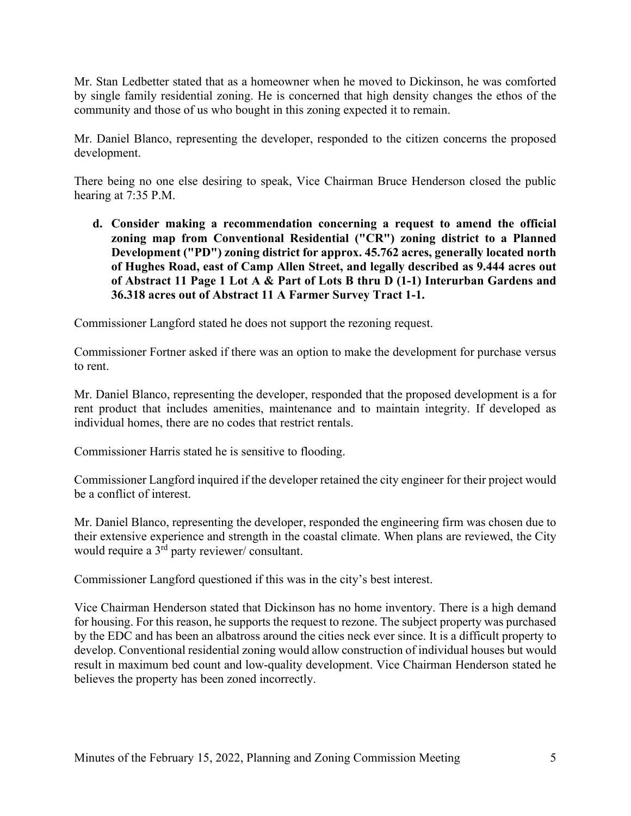Mr. Stan Ledbetter stated that as a homeowner when he moved to Dickinson, he was comforted by single family residential zoning. He is concerned that high density changes the ethos of the community and those of us who bought in this zoning expected it to remain.

Mr. Daniel Blanco, representing the developer, responded to the citizen concerns the proposed development.

There being no one else desiring to speak, Vice Chairman Bruce Henderson closed the public hearing at 7:35 P.M.

**d. Consider making a recommendation concerning a request to amend the official zoning map from Conventional Residential ("CR") zoning district to a Planned Development ("PD") zoning district for approx. 45.762 acres, generally located north of Hughes Road, east of Camp Allen Street, and legally described as 9.444 acres out of Abstract 11 Page 1 Lot A & Part of Lots B thru D (1-1) Interurban Gardens and 36.318 acres out of Abstract 11 A Farmer Survey Tract 1-1.**

Commissioner Langford stated he does not support the rezoning request.

Commissioner Fortner asked if there was an option to make the development for purchase versus to rent.

Mr. Daniel Blanco, representing the developer, responded that the proposed development is a for rent product that includes amenities, maintenance and to maintain integrity. If developed as individual homes, there are no codes that restrict rentals.

Commissioner Harris stated he is sensitive to flooding.

Commissioner Langford inquired if the developer retained the city engineer for their project would be a conflict of interest.

Mr. Daniel Blanco, representing the developer, responded the engineering firm was chosen due to their extensive experience and strength in the coastal climate. When plans are reviewed, the City would require a 3rd party reviewer/ consultant.

Commissioner Langford questioned if this was in the city's best interest.

Vice Chairman Henderson stated that Dickinson has no home inventory. There is a high demand for housing. For this reason, he supports the request to rezone. The subject property was purchased by the EDC and has been an albatross around the cities neck ever since. It is a difficult property to develop. Conventional residential zoning would allow construction of individual houses but would result in maximum bed count and low-quality development. Vice Chairman Henderson stated he believes the property has been zoned incorrectly.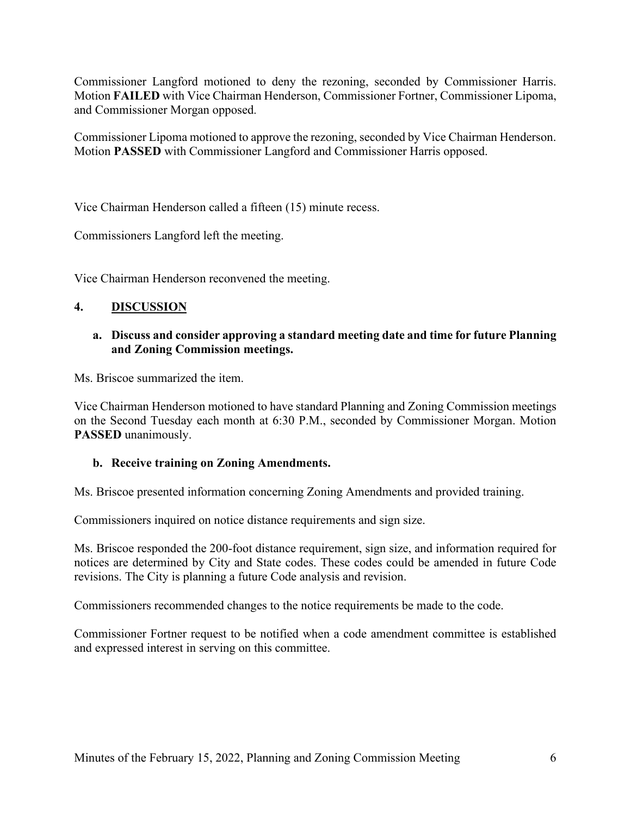Commissioner Langford motioned to deny the rezoning, seconded by Commissioner Harris. Motion **FAILED** with Vice Chairman Henderson, Commissioner Fortner, Commissioner Lipoma, and Commissioner Morgan opposed.

Commissioner Lipoma motioned to approve the rezoning, seconded by Vice Chairman Henderson. Motion **PASSED** with Commissioner Langford and Commissioner Harris opposed.

Vice Chairman Henderson called a fifteen (15) minute recess.

Commissioners Langford left the meeting.

Vice Chairman Henderson reconvened the meeting.

## **4. DISCUSSION**

#### **a. Discuss and consider approving a standard meeting date and time for future Planning and Zoning Commission meetings.**

Ms. Briscoe summarized the item.

Vice Chairman Henderson motioned to have standard Planning and Zoning Commission meetings on the Second Tuesday each month at 6:30 P.M., seconded by Commissioner Morgan. Motion **PASSED** unanimously.

#### **b. Receive training on Zoning Amendments.**

Ms. Briscoe presented information concerning Zoning Amendments and provided training.

Commissioners inquired on notice distance requirements and sign size.

Ms. Briscoe responded the 200-foot distance requirement, sign size, and information required for notices are determined by City and State codes. These codes could be amended in future Code revisions. The City is planning a future Code analysis and revision.

Commissioners recommended changes to the notice requirements be made to the code.

Commissioner Fortner request to be notified when a code amendment committee is established and expressed interest in serving on this committee.